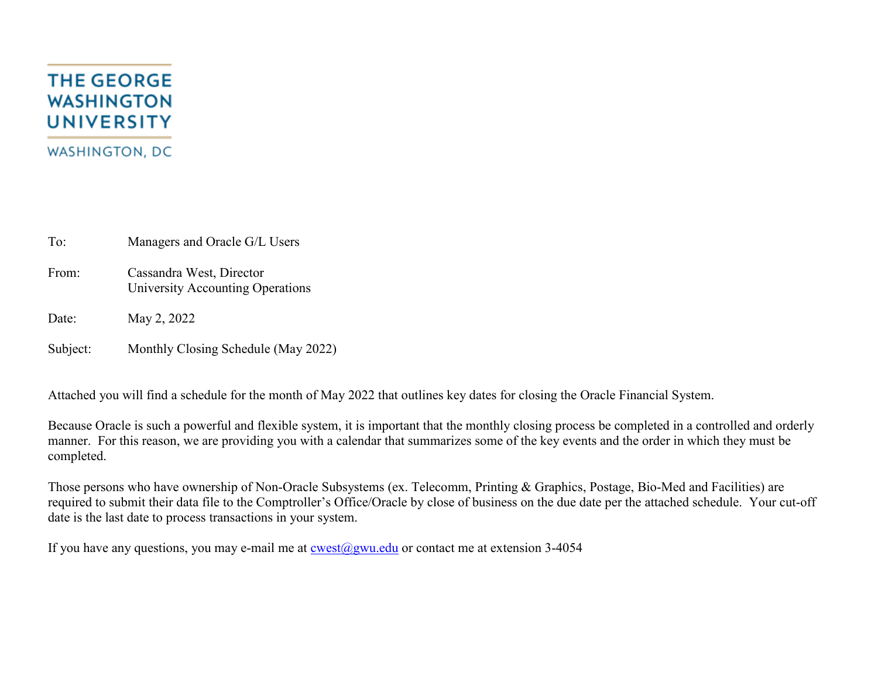## **THE GEORGE WASHINGTON UNIVERSITY WASHINGTON, DC**

To: Managers and Oracle G/L Users

From: Cassandra West, Director University Accounting Operations

Date: May 2, 2022

Subject: Monthly Closing Schedule (May 2022)

Attached you will find a schedule for the month of May 2022 that outlines key dates for closing the Oracle Financial System.

Because Oracle is such a powerful and flexible system, it is important that the monthly closing process be completed in a controlled and orderly manner. For this reason, we are providing you with a calendar that summarizes some of the key events and the order in which they must be completed.

Those persons who have ownership of Non-Oracle Subsystems (ex. Telecomm, Printing & Graphics, Postage, Bio-Med and Facilities) are required to submit their data file to the Comptroller's Office/Oracle by close of business on the due date per the attached schedule. Your cut-off date is the last date to process transactions in your system.

If you have any questions, you may e-mail me at  $\cos(\omega)$ gwu.edu or contact me at extension 3-4054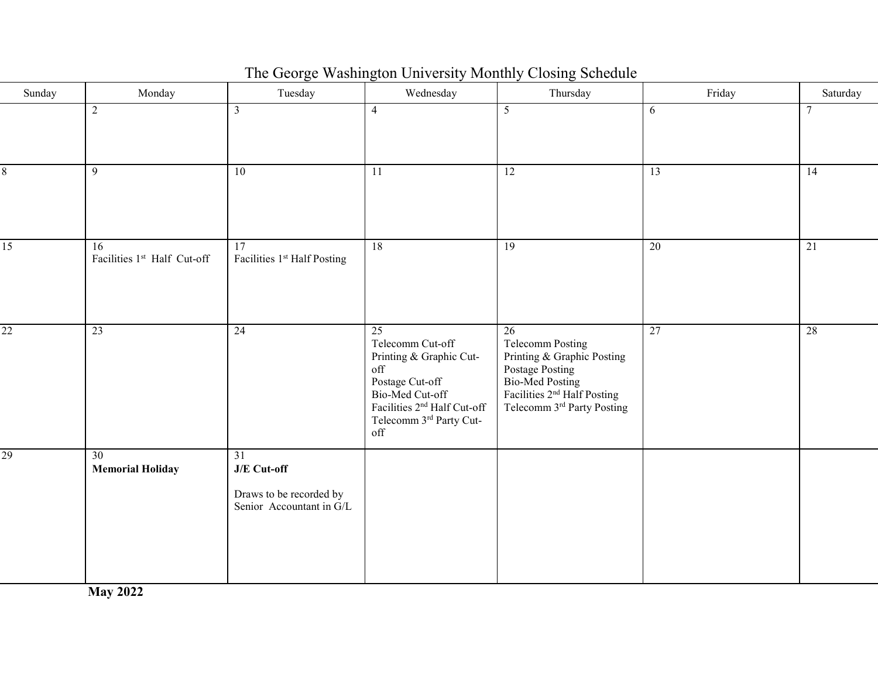| Sunday          | Monday                            | Tuesday                                                                    | Wednesday                                                                                                                                                                         | Thursday                                                                                                                                                                      | Friday | Saturday |
|-----------------|-----------------------------------|----------------------------------------------------------------------------|-----------------------------------------------------------------------------------------------------------------------------------------------------------------------------------|-------------------------------------------------------------------------------------------------------------------------------------------------------------------------------|--------|----------|
|                 | 2                                 | $\mathfrak{Z}$                                                             | $\overline{4}$                                                                                                                                                                    | 5                                                                                                                                                                             | 6      | $\tau$   |
| 8               | 9                                 | 10                                                                         | $\overline{11}$                                                                                                                                                                   | $\overline{12}$                                                                                                                                                               | 13     | 14       |
| $\overline{15}$ | 16<br>Facilities 1st Half Cut-off | 17<br>Facilities 1st Half Posting                                          | 18                                                                                                                                                                                | $\overline{19}$                                                                                                                                                               | 20     | 21       |
| $\overline{22}$ | 23                                | $\overline{24}$                                                            | $\overline{25}$<br>Telecomm Cut-off<br>Printing & Graphic Cut-<br>off<br>Postage Cut-off<br>Bio-Med Cut-off<br>Facilities $2^{nd}$ Half Cut-off<br>Telecomm 3rd Party Cut-<br>off | $\overline{26}$<br><b>Telecomm Posting</b><br>Printing & Graphic Posting<br>Postage Posting<br>Bio-Med Posting<br>Facilities $2nd$ Half Posting<br>Telecomm 3rd Party Posting | 27     | 28       |
| 29              | 30<br><b>Memorial Holiday</b>     | 31<br>$J/E$ Cut-off<br>Draws to be recorded by<br>Senior Accountant in G/L |                                                                                                                                                                                   |                                                                                                                                                                               |        |          |

The George Washington University Monthly Closing Schedule

**May 2022**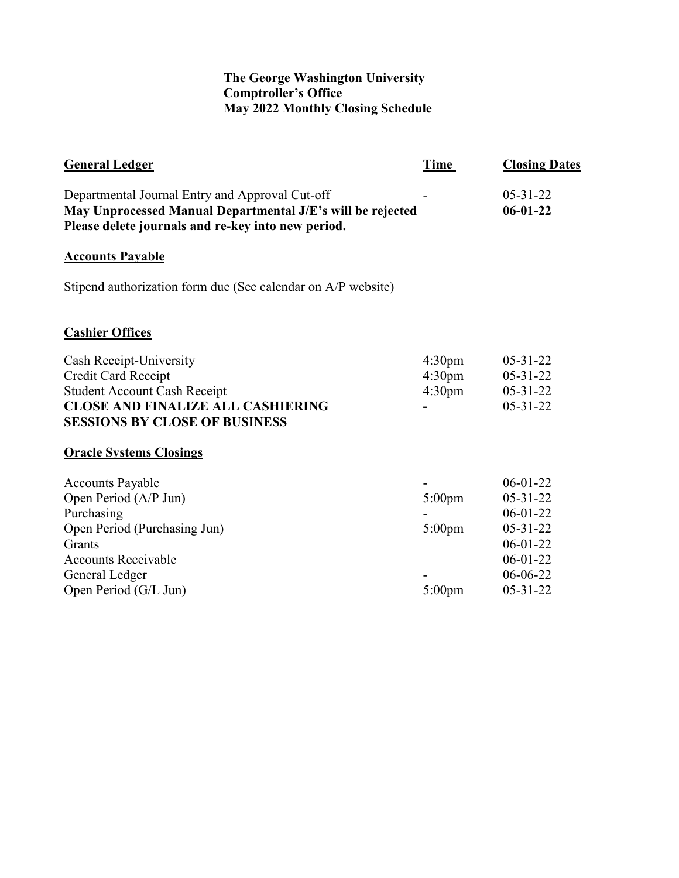## **The George Washington University Comptroller's Office May 2022 Monthly Closing Schedule**

| <b>General Ledger</b>                                                                                                                                                             | Time                                                           | <b>Closing Dates</b>                                                                                                               |
|-----------------------------------------------------------------------------------------------------------------------------------------------------------------------------------|----------------------------------------------------------------|------------------------------------------------------------------------------------------------------------------------------------|
| Departmental Journal Entry and Approval Cut-off<br>May Unprocessed Manual Departmental J/E's will be rejected<br>Please delete journals and re-key into new period.               |                                                                | $05 - 31 - 22$<br>$06 - 01 - 22$                                                                                                   |
| <b>Accounts Payable</b>                                                                                                                                                           |                                                                |                                                                                                                                    |
| Stipend authorization form due (See calendar on A/P website)                                                                                                                      |                                                                |                                                                                                                                    |
| <b>Cashier Offices</b>                                                                                                                                                            |                                                                |                                                                                                                                    |
| Cash Receipt-University<br>Credit Card Receipt<br><b>Student Account Cash Receipt</b><br><b>CLOSE AND FINALIZE ALL CASHIERING</b><br><b>SESSIONS BY CLOSE OF BUSINESS</b>         | 4:30 <sub>pm</sub><br>4:30 <sub>pm</sub><br>4:30 <sub>pm</sub> | $05 - 31 - 22$<br>$05 - 31 - 22$<br>$05 - 31 - 22$<br>$05 - 31 - 22$                                                               |
| <b>Oracle Systems Closings</b>                                                                                                                                                    |                                                                |                                                                                                                                    |
| <b>Accounts Payable</b><br>Open Period (A/P Jun)<br>Purchasing<br>Open Period (Purchasing Jun)<br>Grants<br><b>Accounts Receivable</b><br>General Ledger<br>Open Period (G/L Jun) | 5:00pm<br>$5:00 \text{pm}$<br>$5:00 \text{pm}$                 | $06 - 01 - 22$<br>$05 - 31 - 22$<br>$06 - 01 - 22$<br>$05 - 31 - 22$<br>$06-01-22$<br>$06 - 01 - 22$<br>06-06-22<br>$05 - 31 - 22$ |